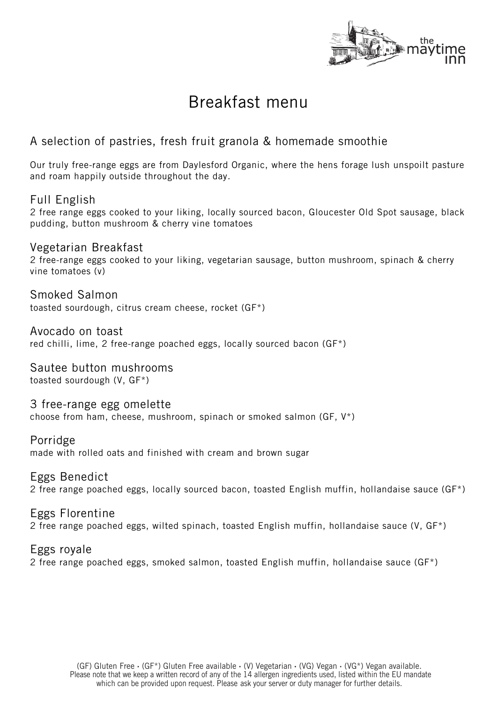

## Breakfast menu

### A selection of pastries, fresh fruit granola & homemade smoothie

Our truly free-range eggs are from Daylesford Organic, where the hens forage lush unspoilt pasture and roam happily outside throughout the day.

### Full English

2 free range eggs cooked to your liking, locally sourced bacon, Gloucester Old Spot sausage, black pudding, button mushroom & cherry vine tomatoes

Vegetarian Breakfast 2 free-range eggs cooked to your liking, vegetarian sausage, button mushroom, spinach & cherry vine tomatoes (v)

Smoked Salmon

toasted sourdough, citrus cream cheese, rocket (GF\*)

Avocado on toast red chilli, lime, 2 free-range poached eggs, locally sourced bacon (GF\*)

Sautee button mushrooms toasted sourdough (V, GF\*)

3 free-range egg omelette choose from ham, cheese, mushroom, spinach or smoked salmon (GF, V\*)

Porridge

made with rolled oats and finished with cream and brown sugar

Eggs Benedict

2 free range poached eggs, locally sourced bacon, toasted English muffin, hollandaise sauce (GF\*)

Eggs Florentine 2 free range poached eggs, wilted spinach, toasted English muffin, hollandaise sauce (V, GF\*)

Eggs royale 2 free range poached eggs, smoked salmon, toasted English muffin, hollandaise sauce (GF\*)